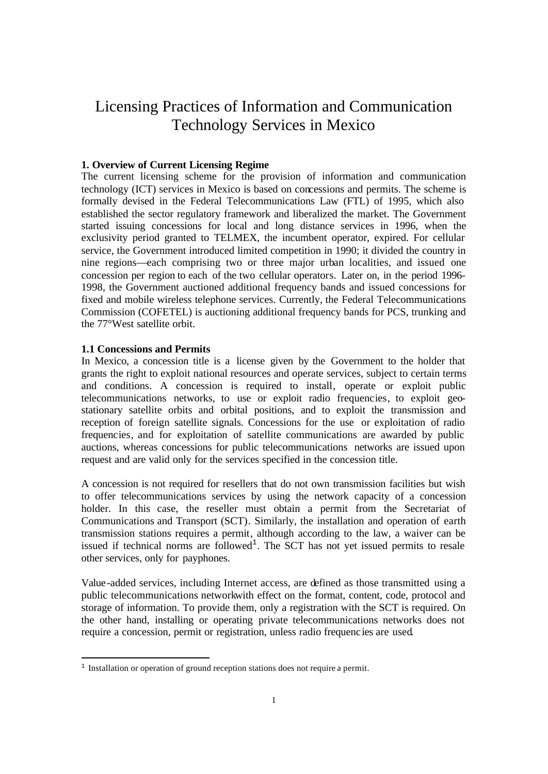# Licensing Practices of Information and Communication Technology Services in Mexico

## **1. Overview of Current Licensing Regime**

The current licensing scheme for the provision of information and communication technology (ICT) services in Mexico is based on concessions and permits. The scheme is formally devised in the Federal Telecommunications Law (FTL) of 1995, which also established the sector regulatory framework and liberalized the market. The Government started issuing concessions for local and long distance services in 1996, when the exclusivity period granted to TELMEX, the incumbent operator, expired. For cellular service, the Government introduced limited competition in 1990; it divided the country in nine regions—each comprising two or three major urban localities, and issued one concession per region to each of the two cellular operators. Later on, in the period 1996- 1998, the Government auctioned additional frequency bands and issued concessions for fixed and mobile wireless telephone services. Currently, the Federal Telecommunications Commission (COFETEL) is auctioning additional frequency bands for PCS, trunking and the 77°West satellite orbit.

#### **1.1 Concessions and Permits**

i,

In Mexico, a concession title is a license given by the Government to the holder that grants the right to exploit national resources and operate services, subject to certain terms and conditions. A concession is required to install, operate or exploit public telecommunications networks, to use or exploit radio frequencies, to exploit geostationary satellite orbits and orbital positions, and to exploit the transmission and reception of foreign satellite signals. Concessions for the use or exploitation of radio frequencies, and for exploitation of satellite communications are awarded by public auctions, whereas concessions for public telecommunications networks are issued upon request and are valid only for the services specified in the concession title.

A concession is not required for resellers that do not own transmission facilities but wish to offer telecommunications services by using the network capacity of a concession holder. In this case, the reseller must obtain a permit from the Secretariat of Communications and Transport (SCT). Similarly, the installation and operation of earth transmission stations requires a permit, although according to the law, a waiver can be issued if technical norms are followed<sup>1</sup>. The SCT has not yet issued permits to resale other services, only for payphones.

Value-added services, including Internet access, are defined as those transmitted using a public telecommunications networkwith effect on the format, content, code, protocol and storage of information. To provide them, only a registration with the SCT is required. On the other hand, installing or operating private telecommunications networks does not require a concession, permit or registration, unless radio frequenc ies are used.

<sup>&</sup>lt;sup>1</sup> Installation or operation of ground reception stations does not require a permit.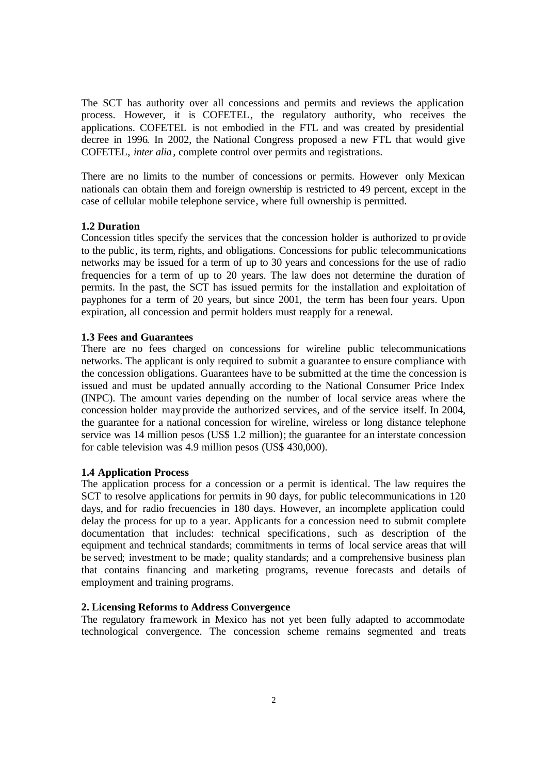The SCT has authority over all concessions and permits and reviews the application process. However, it is COFETEL, the regulatory authority, who receives the applications. COFETEL is not embodied in the FTL and was created by presidential decree in 1996. In 2002, the National Congress proposed a new FTL that would give COFETEL, *inter alia*, complete control over permits and registrations.

There are no limits to the number of concessions or permits. However only Mexican nationals can obtain them and foreign ownership is restricted to 49 percent, except in the case of cellular mobile telephone service, where full ownership is permitted.

### **1.2 Duration**

Concession titles specify the services that the concession holder is authorized to provide to the public, its term, rights, and obligations. Concessions for public telecommunications networks may be issued for a term of up to 30 years and concessions for the use of radio frequencies for a term of up to 20 years. The law does not determine the duration of permits. In the past, the SCT has issued permits for the installation and exploitation of payphones for a term of 20 years, but since 2001, the term has been four years. Upon expiration, all concession and permit holders must reapply for a renewal.

## **1.3 Fees and Guarantees**

There are no fees charged on concessions for wireline public telecommunications networks. The applicant is only required to submit a guarantee to ensure compliance with the concession obligations. Guarantees have to be submitted at the time the concession is issued and must be updated annually according to the National Consumer Price Index (INPC). The amount varies depending on the number of local service areas where the concession holder may provide the authorized services, and of the service itself. In 2004, the guarantee for a national concession for wireline, wireless or long distance telephone service was 14 million pesos (US\$ 1.2 million); the guarantee for an interstate concession for cable television was 4.9 million pesos (US\$ 430,000).

#### **1.4 Application Process**

The application process for a concession or a permit is identical. The law requires the SCT to resolve applications for permits in 90 days, for public telecommunications in 120 days, and for radio frecuencies in 180 days. However, an incomplete application could delay the process for up to a year. Applicants for a concession need to submit complete documentation that includes: technical specifications, such as description of the equipment and technical standards; commitments in terms of local service areas that will be served; investment to be made; quality standards; and a comprehensive business plan that contains financing and marketing programs, revenue forecasts and details of employment and training programs.

#### **2. Licensing Reforms to Address Convergence**

The regulatory framework in Mexico has not yet been fully adapted to accommodate technological convergence. The concession scheme remains segmented and treats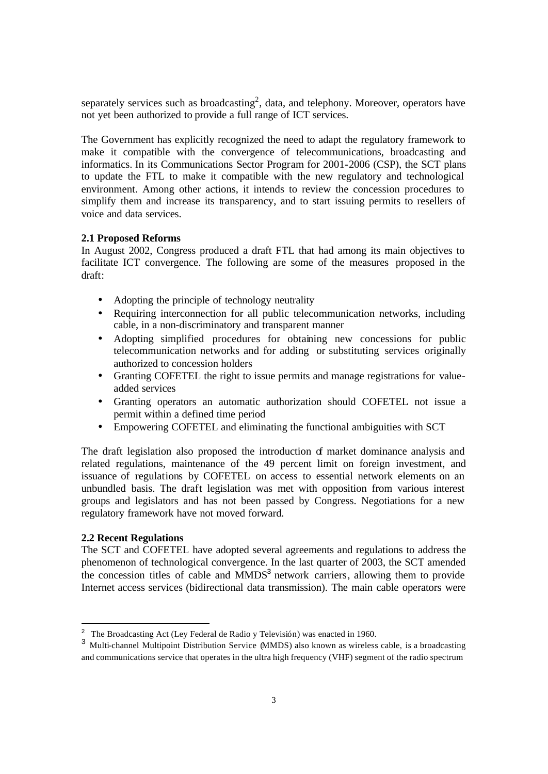separately services such as broadcasting<sup>2</sup>, data, and telephony. Moreover, operators have not yet been authorized to provide a full range of ICT services.

The Government has explicitly recognized the need to adapt the regulatory framework to make it compatible with the convergence of telecommunications, broadcasting and informatics. In its Communications Sector Program for 2001-2006 (CSP), the SCT plans to update the FTL to make it compatible with the new regulatory and technological environment. Among other actions, it intends to review the concession procedures to simplify them and increase its transparency, and to start issuing permits to resellers of voice and data services.

## **2.1 Proposed Reforms**

In August 2002, Congress produced a draft FTL that had among its main objectives to facilitate ICT convergence. The following are some of the measures proposed in the draft:

- Adopting the principle of technology neutrality
- Requiring interconnection for all public telecommunication networks, including cable, in a non-discriminatory and transparent manner
- Adopting simplified procedures for obtaining new concessions for public telecommunication networks and for adding or substituting services originally authorized to concession holders
- Granting COFETEL the right to issue permits and manage registrations for valueadded services
- Granting operators an automatic authorization should COFETEL not issue a permit within a defined time period
- Empowering COFETEL and eliminating the functional ambiguities with SCT

The draft legislation also proposed the introduction  $\sigma$  market dominance analysis and related regulations, maintenance of the 49 percent limit on foreign investment, and issuance of regulations by COFETEL on access to essential network elements on an unbundled basis. The draft legislation was met with opposition from various interest groups and legislators and has not been passed by Congress. Negotiations for a new regulatory framework have not moved forward.

## **2.2 Recent Regulations**

i,

The SCT and COFETEL have adopted several agreements and regulations to address the phenomenon of technological convergence. In the last quarter of 2003, the SCT amended the concession titles of cable and  $MMDS<sup>3</sup>$  network carriers, allowing them to provide Internet access services (bidirectional data transmission). The main cable operators were

<sup>&</sup>lt;sup>2</sup> The Broadcasting Act (Ley Federal de Radio y Televisión) was enacted in 1960.

<sup>&</sup>lt;sup>3</sup> Multi-channel Multipoint Distribution Service (MMDS) also known as wireless cable, is a broadcasting and communications service that operates in the ultra high frequency (VHF) segment of the radio spectrum